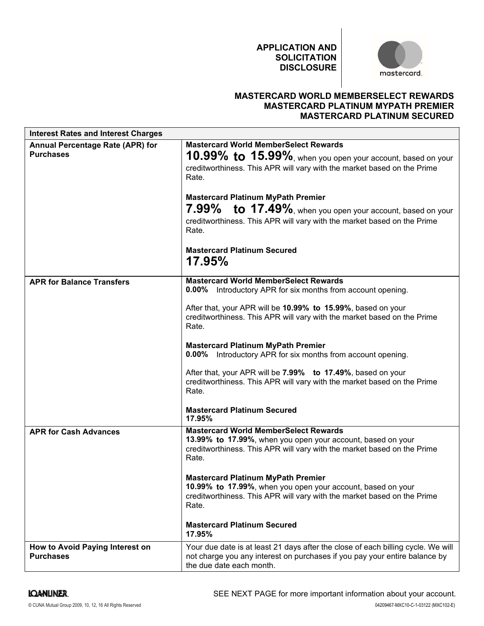

## MASTERCARD WORLD MEMBERSELECT REWARDS MASTERCARD PLATINUM MYPATH PREMIER MASTERCARD PLATINUM SECURED

|                                                      | <b>APPLICATION AND</b><br><b>SOLICITATION</b><br><b>DISCLOSURE</b>                                                                                                                                                              | mastercard.                                                                                                                     |
|------------------------------------------------------|---------------------------------------------------------------------------------------------------------------------------------------------------------------------------------------------------------------------------------|---------------------------------------------------------------------------------------------------------------------------------|
|                                                      |                                                                                                                                                                                                                                 | <b>MASTERCARD WORLD MEMBERSELECT REWARDS</b><br><b>MASTERCARD PLATINUM MYPATH PREMIER</b><br><b>MASTERCARD PLATINUM SECURED</b> |
| <b>Interest Rates and Interest Charges</b>           |                                                                                                                                                                                                                                 |                                                                                                                                 |
| Annual Percentage Rate (APR) for<br><b>Purchases</b> | <b>Mastercard World MemberSelect Rewards</b><br>10.99% to 15.99%, when you open your account, based on your<br>creditworthiness. This APR will vary with the market based on the Prime<br>Rate.                                 |                                                                                                                                 |
|                                                      | <b>Mastercard Platinum MyPath Premier</b><br>${\color{red}to}\ {\color{green}17.49\%}$ , when you open your account, based on your<br>7.99%<br>creditworthiness. This APR will vary with the market based on the Prime<br>Rate. |                                                                                                                                 |
|                                                      | <b>Mastercard Platinum Secured</b><br><b>17.95%</b>                                                                                                                                                                             |                                                                                                                                 |
| <b>APR for Balance Transfers</b>                     | <b>Mastercard World MemberSelect Rewards</b><br><b>0.00%</b> Introductory APR for six months from account opening.<br>After that, your APR will be 10.99% to 15.99%, based on your                                              |                                                                                                                                 |
|                                                      | creditworthiness. This APR will vary with the market based on the Prime<br>Rate.                                                                                                                                                |                                                                                                                                 |
|                                                      | <b>Mastercard Platinum MyPath Premier</b><br><b>0.00%</b> Introductory APR for six months from account opening.                                                                                                                 |                                                                                                                                 |
|                                                      | After that, your APR will be 7.99% to 17.49%, based on your<br>creditworthiness. This APR will vary with the market based on the Prime<br>Rate.                                                                                 |                                                                                                                                 |
|                                                      | <b>Mastercard Platinum Secured</b><br>17.95%                                                                                                                                                                                    |                                                                                                                                 |
| <b>APR for Cash Advances</b>                         | <b>Mastercard World MemberSelect Rewards</b><br>13.99% to 17.99%, when you open your account, based on your<br>creditworthiness. This APR will vary with the market based on the Prime<br>Rate.                                 |                                                                                                                                 |
|                                                      | <b>Mastercard Platinum MyPath Premier</b><br>10.99% to 17.99%, when you open your account, based on your<br>creditworthiness. This APR will vary with the market based on the Prime<br>Rate.                                    |                                                                                                                                 |
|                                                      | <b>Mastercard Platinum Secured</b><br>17.95%                                                                                                                                                                                    |                                                                                                                                 |
| How to Avoid Paying Interest on<br><b>Purchases</b>  | Your due date is at least 21 days after the close of each billing cycle. We will<br>not charge you any interest on purchases if you pay your entire balance by<br>the due date each month.                                      |                                                                                                                                 |
| <b>IQANLINER.</b>                                    | SEE NEXT PAGE for more important information about your account.                                                                                                                                                                |                                                                                                                                 |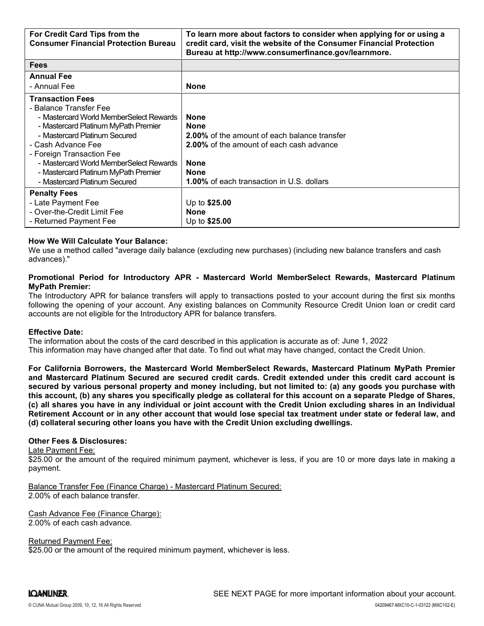| For Credit Card Tips from the                                                   | To learn more about factors to consider when applying for or using a                                                                                                                                                                                                                                                                                                                                                                                                                                                                                                                                                                                                                                     |
|---------------------------------------------------------------------------------|----------------------------------------------------------------------------------------------------------------------------------------------------------------------------------------------------------------------------------------------------------------------------------------------------------------------------------------------------------------------------------------------------------------------------------------------------------------------------------------------------------------------------------------------------------------------------------------------------------------------------------------------------------------------------------------------------------|
| <b>Consumer Financial Protection Bureau</b>                                     | credit card, visit the website of the Consumer Financial Protection<br>Bureau at http://www.consumerfinance.gov/learnmore.                                                                                                                                                                                                                                                                                                                                                                                                                                                                                                                                                                               |
| <b>Fees</b>                                                                     |                                                                                                                                                                                                                                                                                                                                                                                                                                                                                                                                                                                                                                                                                                          |
| <b>Annual Fee</b><br>- Annual Fee                                               | <b>None</b>                                                                                                                                                                                                                                                                                                                                                                                                                                                                                                                                                                                                                                                                                              |
| <b>Transaction Fees</b>                                                         |                                                                                                                                                                                                                                                                                                                                                                                                                                                                                                                                                                                                                                                                                                          |
| - Balance Transfer Fee                                                          |                                                                                                                                                                                                                                                                                                                                                                                                                                                                                                                                                                                                                                                                                                          |
| - Mastercard World MemberSelect Rewards<br>- Mastercard Platinum MyPath Premier | <b>None</b><br><b>None</b>                                                                                                                                                                                                                                                                                                                                                                                                                                                                                                                                                                                                                                                                               |
| - Mastercard Platinum Secured                                                   | <b>2.00%</b> of the amount of each balance transfer                                                                                                                                                                                                                                                                                                                                                                                                                                                                                                                                                                                                                                                      |
| - Cash Advance Fee<br>- Foreign Transaction Fee                                 | 2.00% of the amount of each cash advance                                                                                                                                                                                                                                                                                                                                                                                                                                                                                                                                                                                                                                                                 |
| - Mastercard World MemberSelect Rewards                                         | <b>None</b>                                                                                                                                                                                                                                                                                                                                                                                                                                                                                                                                                                                                                                                                                              |
| - Mastercard Platinum MyPath Premier                                            | None                                                                                                                                                                                                                                                                                                                                                                                                                                                                                                                                                                                                                                                                                                     |
| - Mastercard Platinum Secured                                                   | <b>1.00%</b> of each transaction in U.S. dollars                                                                                                                                                                                                                                                                                                                                                                                                                                                                                                                                                                                                                                                         |
| <b>Penalty Fees</b><br>- Late Payment Fee                                       | Up to \$25.00                                                                                                                                                                                                                                                                                                                                                                                                                                                                                                                                                                                                                                                                                            |
| - Over-the-Credit Limit Fee                                                     | None                                                                                                                                                                                                                                                                                                                                                                                                                                                                                                                                                                                                                                                                                                     |
| - Returned Payment Fee                                                          | Up to \$25.00                                                                                                                                                                                                                                                                                                                                                                                                                                                                                                                                                                                                                                                                                            |
| <b>How We Will Calculate Your Balance:</b><br>advances)."                       | We use a method called "average daily balance (excluding new purchases) (including new balance transfers and cash                                                                                                                                                                                                                                                                                                                                                                                                                                                                                                                                                                                        |
| <b>MyPath Premier:</b>                                                          | Promotional Period for Introductory APR - Mastercard World MemberSelect Rewards, Mastercard Platinum<br>The Introductory APR for balance transfers will apply to transactions posted to your account during the first six months<br>following the opening of your account. Any existing balances on Community Resource Credit Union loan or credit card                                                                                                                                                                                                                                                                                                                                                  |
| accounts are not eligible for the Introductory APR for balance transfers.       |                                                                                                                                                                                                                                                                                                                                                                                                                                                                                                                                                                                                                                                                                                          |
| <b>Effective Date:</b>                                                          | The information about the costs of the card described in this application is accurate as of: June 1, 2022<br>This information may have changed after that date. To find out what may have changed, contact the Credit Union.                                                                                                                                                                                                                                                                                                                                                                                                                                                                             |
|                                                                                 | For California Borrowers, the Mastercard World MemberSelect Rewards, Mastercard Platinum MyPath Premier<br>and Mastercard Platinum Secured are secured credit cards. Credit extended under this credit card account is<br>secured by various personal property and money including, but not limited to: (a) any goods you purchase with<br>this account, (b) any shares you specifically pledge as collateral for this account on a separate Pledge of Shares,<br>(c) all shares you have in any individual or joint account with the Credit Union excluding shares in an Individual<br>Retirement Account or in any other account that would lose special tax treatment under state or federal law, and |

### How We Will Calculate Your Balance:

# MyPath Premier:

#### Effective Date:

In successing, (i) any share you specific in a product of plants and the Credit Union excluding shares in an Individual or control and Reference in Account that would lose special tax treatment under state or federal law, - Mastercard Platinum MyPath Premier<br>
- Mastercard Platinum Secured<br>
- Late Payment Fee<br>
- Up to \$25.00<br>
- Cret-the-Credit Limit Fee<br>
- Dever-the-Credit Limit Fee<br>
- Returned Payment Fee<br>
- Returned Payment Fee<br>
- Returned secured Paintum Secured 1.00% of each transaction in U.S. dollars<br>
- Late Payment Fee<br>
- Over-the-Credit Limit Fee<br>
- Over-the-Credit Limit Fee<br>
- Over-the-Credit Limit Fee<br>
- Notice and Payment Fee<br>
- Notice and Devide Yo Pentily Fees<br>- Late Payment Fee<br>- Neumed Dayment Fee<br>- Returned Credit Limit Fee<br>- Returned Payment Fee<br>- Returned Payment Fee<br>- Returned Payment Fee<br>- Returned Payment Fee<br>- Returned Payment Fee<br>- Returned Payment Fee<br>- R - Late Payment Fee<br>
- Over-the-Credit Limit Fee<br>
- Returned Payment Fee<br>
- Returned Payment Fee<br>
- We was will Calculate Your Balance:<br>
We use a method called "average daily balance (excluding new purchases) (including new - Ower-the-Credit Limit Fee<br>- Returned Payment Fee<br>How We Will Calculate Your Balance:<br>
How We Will Calculate Your Balance:<br>
How We Will Calculate Your Balance:<br>
advances)."<br>
advances method called "average daily balance ( (d) collateral securing other loans you have with the Credit Union excluding dwellings. ndvances)."<br>
advances)."<br>
advances)."<br>
advances)."<br>
Alternational Period for Introductory APR - Mastercard World MemberSelect Rewards, Mastercard Platinum<br>
The Introductory APR for balance transfers will apply to transacti The Introductory APR for balance transfers will apply to transactions posted to following the opening of your account. Any existing balances on Community Recocounts are not eligible for the Introductory APR for balance tra Effective Date:<br>The information about the costs of the card described in this application.<br>The information about the costs of the card described in this application is accura<br>This information may have changed after that da

#### Other Fees & Disclosures:

#### Late Payment Fee:

payment.

Balance Transfer Fee (Finance Charge) - Mastercard Platinum Secured:

Cash Advance Fee (Finance Charge):

Returned Payment Fee:

\$25.00 or the amount of the required minimum payment, whichever is less.